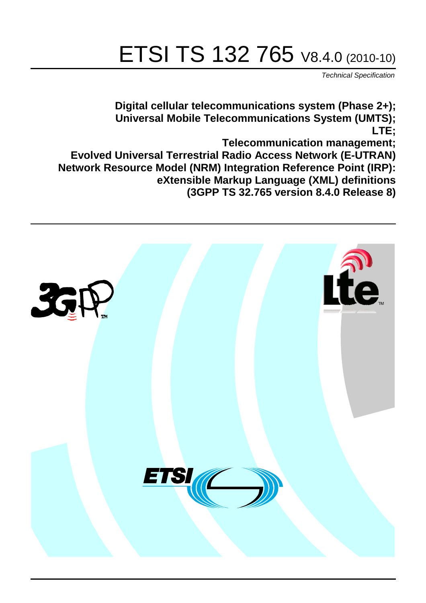# ETSI TS 132 765 V8.4.0 (2010-10)

*Technical Specification*

**Digital cellular telecommunications system (Phase 2+); Universal Mobile Telecommunications System (UMTS); LTE;**

**Telecommunication management;**

**Evolved Universal Terrestrial Radio Access Network (E-UTRAN) Network Resource Model (NRM) Integration Reference Point (IRP): eXtensible Markup Language (XML) definitions (3GPP TS 32.765 version 8.4.0 Release 8)**

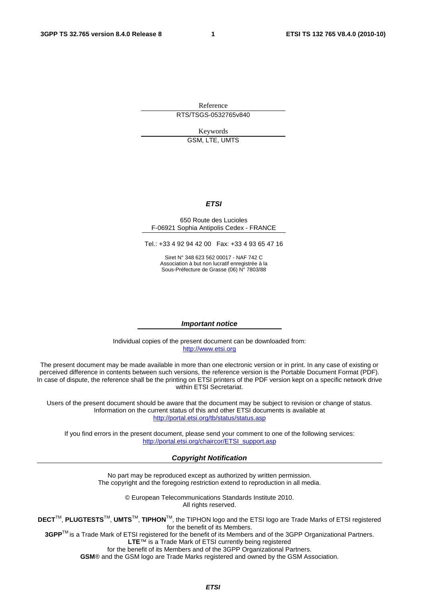Reference RTS/TSGS-0532765v840

> Keywords GSM, LTE, UMTS

#### *ETSI*

#### 650 Route des Lucioles F-06921 Sophia Antipolis Cedex - FRANCE

Tel.: +33 4 92 94 42 00 Fax: +33 4 93 65 47 16

Siret N° 348 623 562 00017 - NAF 742 C Association à but non lucratif enregistrée à la Sous-Préfecture de Grasse (06) N° 7803/88

#### *Important notice*

Individual copies of the present document can be downloaded from: [http://www.etsi.org](http://www.etsi.org/)

The present document may be made available in more than one electronic version or in print. In any case of existing or perceived difference in contents between such versions, the reference version is the Portable Document Format (PDF). In case of dispute, the reference shall be the printing on ETSI printers of the PDF version kept on a specific network drive within ETSI Secretariat.

Users of the present document should be aware that the document may be subject to revision or change of status. Information on the current status of this and other ETSI documents is available at <http://portal.etsi.org/tb/status/status.asp>

If you find errors in the present document, please send your comment to one of the following services: [http://portal.etsi.org/chaircor/ETSI\\_support.asp](http://portal.etsi.org/chaircor/ETSI_support.asp)

#### *Copyright Notification*

No part may be reproduced except as authorized by written permission. The copyright and the foregoing restriction extend to reproduction in all media.

> © European Telecommunications Standards Institute 2010. All rights reserved.

**DECT**TM, **PLUGTESTS**TM, **UMTS**TM, **TIPHON**TM, the TIPHON logo and the ETSI logo are Trade Marks of ETSI registered for the benefit of its Members.

**3GPP**TM is a Trade Mark of ETSI registered for the benefit of its Members and of the 3GPP Organizational Partners. **LTE**™ is a Trade Mark of ETSI currently being registered

for the benefit of its Members and of the 3GPP Organizational Partners.

**GSM**® and the GSM logo are Trade Marks registered and owned by the GSM Association.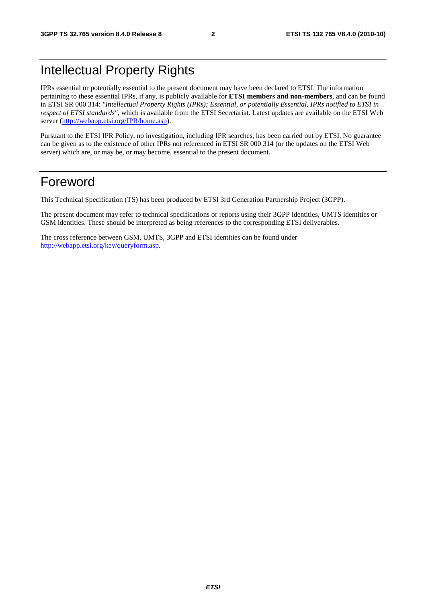## Intellectual Property Rights

IPRs essential or potentially essential to the present document may have been declared to ETSI. The information pertaining to these essential IPRs, if any, is publicly available for **ETSI members and non-members**, and can be found in ETSI SR 000 314: *"Intellectual Property Rights (IPRs); Essential, or potentially Essential, IPRs notified to ETSI in respect of ETSI standards"*, which is available from the ETSI Secretariat. Latest updates are available on the ETSI Web server [\(http://webapp.etsi.org/IPR/home.asp\)](http://webapp.etsi.org/IPR/home.asp).

Pursuant to the ETSI IPR Policy, no investigation, including IPR searches, has been carried out by ETSI. No guarantee can be given as to the existence of other IPRs not referenced in ETSI SR 000 314 (or the updates on the ETSI Web server) which are, or may be, or may become, essential to the present document.

### Foreword

This Technical Specification (TS) has been produced by ETSI 3rd Generation Partnership Project (3GPP).

The present document may refer to technical specifications or reports using their 3GPP identities, UMTS identities or GSM identities. These should be interpreted as being references to the corresponding ETSI deliverables.

The cross reference between GSM, UMTS, 3GPP and ETSI identities can be found under [http://webapp.etsi.org/key/queryform.asp.](http://webapp.etsi.org/key/queryform.asp)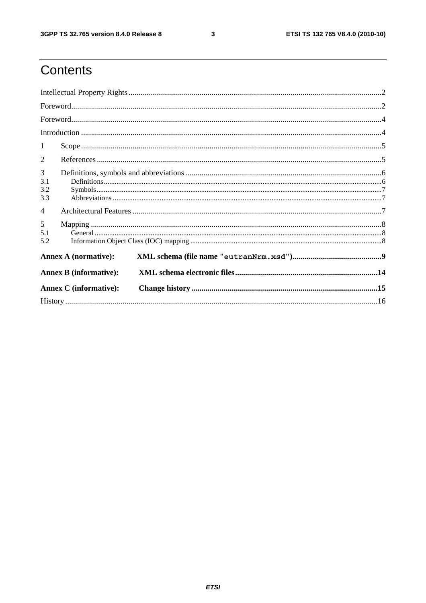$\mathbf{3}$ 

## Contents

| $\textbf{For} \textbf{word}.\textcolor{red}{\textbf{not}}. \textcolor{red}{\textbf{1}} \textcolor{red}{\textbf{1}} \textcolor{red}{\textbf{1}} \textcolor{red}{\textbf{1}} \textcolor{red}{\textbf{1}} \textcolor{red}{\textbf{1}} \textcolor{red}{\textbf{1}} \textcolor{red}{\textbf{1}} \textcolor{red}{\textbf{1}} \textcolor{red}{\textbf{1}} \textcolor{red}{\textbf{1}} \textcolor{red}{\textbf{1}} \textcolor{red}{\textbf{1}} \textcolor{red}{\textbf{1}} \textcolor{red}{\textbf{1}} \textcolor{red}{\textbf{1}} \textcolor$ |  |  |  |  |
|----------------------------------------------------------------------------------------------------------------------------------------------------------------------------------------------------------------------------------------------------------------------------------------------------------------------------------------------------------------------------------------------------------------------------------------------------------------------------------------------------------------------------------------|--|--|--|--|
|                                                                                                                                                                                                                                                                                                                                                                                                                                                                                                                                        |  |  |  |  |
|                                                                                                                                                                                                                                                                                                                                                                                                                                                                                                                                        |  |  |  |  |
| 1                                                                                                                                                                                                                                                                                                                                                                                                                                                                                                                                      |  |  |  |  |
| 2                                                                                                                                                                                                                                                                                                                                                                                                                                                                                                                                      |  |  |  |  |
| 3<br>3.1<br>3.2<br>3.3                                                                                                                                                                                                                                                                                                                                                                                                                                                                                                                 |  |  |  |  |
| $\overline{4}$                                                                                                                                                                                                                                                                                                                                                                                                                                                                                                                         |  |  |  |  |
| 5<br>5.1<br>5.2                                                                                                                                                                                                                                                                                                                                                                                                                                                                                                                        |  |  |  |  |
| <b>Annex A (normative):</b>                                                                                                                                                                                                                                                                                                                                                                                                                                                                                                            |  |  |  |  |
| <b>Annex B</b> (informative):                                                                                                                                                                                                                                                                                                                                                                                                                                                                                                          |  |  |  |  |
| <b>Annex C</b> (informative):                                                                                                                                                                                                                                                                                                                                                                                                                                                                                                          |  |  |  |  |
|                                                                                                                                                                                                                                                                                                                                                                                                                                                                                                                                        |  |  |  |  |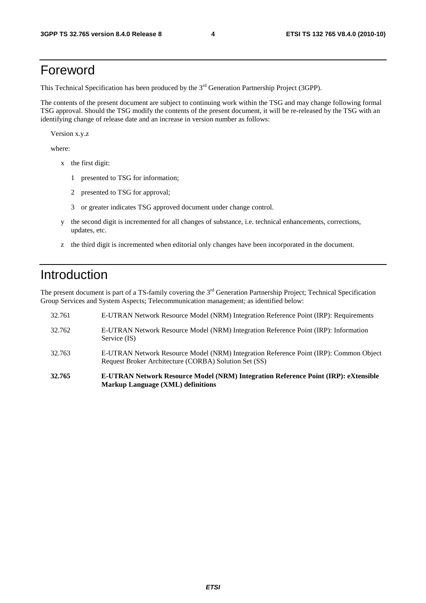### Foreword

This Technical Specification has been produced by the 3<sup>rd</sup> Generation Partnership Project (3GPP).

The contents of the present document are subject to continuing work within the TSG and may change following formal TSG approval. Should the TSG modify the contents of the present document, it will be re-released by the TSG with an identifying change of release date and an increase in version number as follows:

Version x.y.z

where:

- x the first digit:
	- 1 presented to TSG for information;
	- 2 presented to TSG for approval;
	- 3 or greater indicates TSG approved document under change control.
- y the second digit is incremented for all changes of substance, i.e. technical enhancements, corrections, updates, etc.
- z the third digit is incremented when editorial only changes have been incorporated in the document.

### Introduction

The present document is part of a TS-family covering the 3<sup>rd</sup> Generation Partnership Project; Technical Specification Group Services and System Aspects; Telecommunication management; as identified below:

- 32.761 E-UTRAN Network Resource Model (NRM) Integration Reference Point (IRP): Requirements 32.762 E-UTRAN Network Resource Model (NRM) Integration Reference Point (IRP): Information Service (IS) 32.763 E-UTRAN Network Resource Model (NRM) Integration Reference Point (IRP): Common Object Request Broker Architecture (CORBA) Solution Set (SS) **32.765 E-UTRAN Network Resource Model (NRM) Integration Reference Point (IRP): eXtensible**
- **Markup Language (XML) definitions**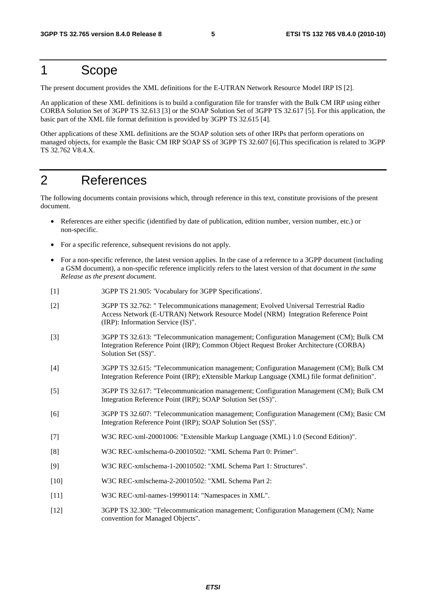### 1 Scope

The present document provides the XML definitions for the E-UTRAN Network Resource Model IRP IS [2].

An application of these XML definitions is to build a configuration file for transfer with the Bulk CM IRP using either CORBA Solution Set of 3GPP TS 32.613 [3] or the SOAP Solution Set of 3GPP TS 32.617 [5]. For this application, the basic part of the XML file format definition is provided by 3GPP TS 32.615 [4].

Other applications of these XML definitions are the SOAP solution sets of other IRPs that perform operations on managed objects, for example the Basic CM IRP SOAP SS of 3GPP TS 32.607 [6].This specification is related to 3GPP TS 32.762 V8.4.X.

### 2 References

The following documents contain provisions which, through reference in this text, constitute provisions of the present document.

- References are either specific (identified by date of publication, edition number, version number, etc.) or non-specific.
- For a specific reference, subsequent revisions do not apply.
- For a non-specific reference, the latest version applies. In the case of a reference to a 3GPP document (including a GSM document), a non-specific reference implicitly refers to the latest version of that document *in the same Release as the present document*.
- [1] 3GPP TS 21.905: 'Vocabulary for 3GPP Specifications'.
- [2] 3GPP TS 32.762: " Telecommunications management; Evolved Universal Terrestrial Radio Access Network (E-UTRAN) Network Resource Model (NRM) Integration Reference Point (IRP): Information Service (IS)".
- [3] 3GPP TS 32.613: "Telecommunication management; Configuration Management (CM); Bulk CM Integration Reference Point (IRP); Common Object Request Broker Architecture (CORBA) Solution Set (SS)".
- [4] 3GPP TS 32.615: "Telecommunication management; Configuration Management (CM); Bulk CM Integration Reference Point (IRP); eXtensible Markup Language (XML) file format definition".
- [5] 3GPP TS 32.617: "Telecommunication management; Configuration Management (CM); Bulk CM Integration Reference Point (IRP); SOAP Solution Set (SS)".
- [6] 3GPP TS 32.607: "Telecommunication management; Configuration Management (CM); Basic CM Integration Reference Point (IRP); SOAP Solution Set (SS)".
- [7] W3C REC-xml-20001006: "Extensible Markup Language (XML) 1.0 (Second Edition)".
- [8] W3C REC-xmlschema-0-20010502: "XML Schema Part 0: Primer".
- [9] W3C REC-xmlschema-1-20010502: "XML Schema Part 1: Structures".
- [10] W3C REC-xmlschema-2-20010502: "XML Schema Part 2:
- [11] W3C REC-xml-names-19990114: "Namespaces in XML".
- [12] 3GPP TS 32.300: "Telecommunication management; Configuration Management (CM); Name convention for Managed Objects".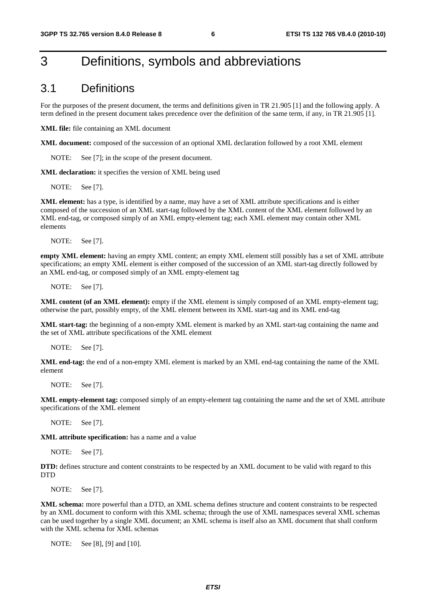### 3 Definitions, symbols and abbreviations

#### 3.1 Definitions

For the purposes of the present document, the terms and definitions given in TR 21.905 [1] and the following apply. A term defined in the present document takes precedence over the definition of the same term, if any, in TR 21.905 [1].

**XML file:** file containing an XML document

**XML document:** composed of the succession of an optional XML declaration followed by a root XML element

NOTE: See [7]; in the scope of the present document.

**XML declaration:** it specifies the version of XML being used

NOTE: See [7].

**XML element:** has a type, is identified by a name, may have a set of XML attribute specifications and is either composed of the succession of an XML start-tag followed by the XML content of the XML element followed by an XML end-tag, or composed simply of an XML empty-element tag; each XML element may contain other XML elements

NOTE: See [7].

**empty XML element:** having an empty XML content; an empty XML element still possibly has a set of XML attribute specifications; an empty XML element is either composed of the succession of an XML start-tag directly followed by an XML end-tag, or composed simply of an XML empty-element tag

NOTE: See [7].

**XML content (of an XML element):** empty if the XML element is simply composed of an XML empty-element tag; otherwise the part, possibly empty, of the XML element between its XML start-tag and its XML end-tag

**XML start-tag:** the beginning of a non-empty XML element is marked by an XML start-tag containing the name and the set of XML attribute specifications of the XML element

NOTE: See [7].

**XML end-tag:** the end of a non-empty XML element is marked by an XML end-tag containing the name of the XML element

NOTE: See [7].

**XML empty-element tag:** composed simply of an empty-element tag containing the name and the set of XML attribute specifications of the XML element

NOTE: See [7].

**XML attribute specification:** has a name and a value

NOTE: See [7].

**DTD:** defines structure and content constraints to be respected by an XML document to be valid with regard to this **DTD** 

NOTE: See [7].

**XML schema:** more powerful than a DTD, an XML schema defines structure and content constraints to be respected by an XML document to conform with this XML schema; through the use of XML namespaces several XML schemas can be used together by a single XML document; an XML schema is itself also an XML document that shall conform with the XML schema for XML schemas

NOTE: See [8], [9] and [10].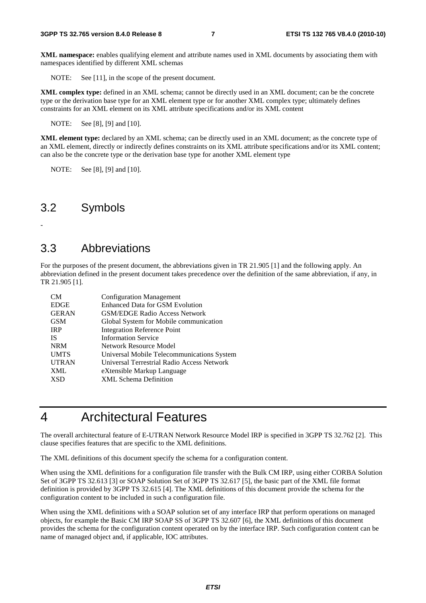**XML namespace:** enables qualifying element and attribute names used in XML documents by associating them with namespaces identified by different XML schemas

NOTE: See [11], in the scope of the present document.

**XML complex type:** defined in an XML schema; cannot be directly used in an XML document; can be the concrete type or the derivation base type for an XML element type or for another XML complex type; ultimately defines constraints for an XML element on its XML attribute specifications and/or its XML content

NOTE: See [8], [9] and [10].

**XML element type:** declared by an XML schema; can be directly used in an XML document; as the concrete type of an XML element, directly or indirectly defines constraints on its XML attribute specifications and/or its XML content; can also be the concrete type or the derivation base type for another XML element type

NOTE: See [8], [9] and [10].

#### 3.2 Symbols

-

### 3.3 Abbreviations

For the purposes of the present document, the abbreviations given in TR 21.905 [1] and the following apply. An abbreviation defined in the present document takes precedence over the definition of the same abbreviation, if any, in TR 21.905 [1].

| CM <sub></sub> | <b>Configuration Management</b>            |
|----------------|--------------------------------------------|
| <b>EDGE</b>    | <b>Enhanced Data for GSM Evolution</b>     |
| <b>GERAN</b>   | <b>GSM/EDGE Radio Access Network</b>       |
| <b>GSM</b>     | Global System for Mobile communication     |
| <b>IRP</b>     | <b>Integration Reference Point</b>         |
| <b>IS</b>      | <b>Information Service</b>                 |
| <b>NRM</b>     | Network Resource Model                     |
| <b>UMTS</b>    | Universal Mobile Telecommunications System |
| <b>UTRAN</b>   | Universal Terrestrial Radio Access Network |
| <b>XML</b>     | eXtensible Markup Language                 |
| <b>XSD</b>     | <b>XML</b> Schema Definition               |

### 4 Architectural Features

The overall architectural feature of E-UTRAN Network Resource Model IRP is specified in 3GPP TS 32.762 [2]. This clause specifies features that are specific to the XML definitions.

The XML definitions of this document specify the schema for a configuration content.

When using the XML definitions for a configuration file transfer with the Bulk CM IRP, using either CORBA Solution Set of 3GPP TS 32.613 [3] or SOAP Solution Set of 3GPP TS 32.617 [5], the basic part of the XML file format definition is provided by 3GPP TS 32.615 [4]. The XML definitions of this document provide the schema for the configuration content to be included in such a configuration file.

When using the XML definitions with a SOAP solution set of any interface IRP that perform operations on managed objects, for example the Basic CM IRP SOAP SS of 3GPP TS 32.607 [6], the XML definitions of this document provides the schema for the configuration content operated on by the interface IRP. Such configuration content can be name of managed object and, if applicable, IOC attributes.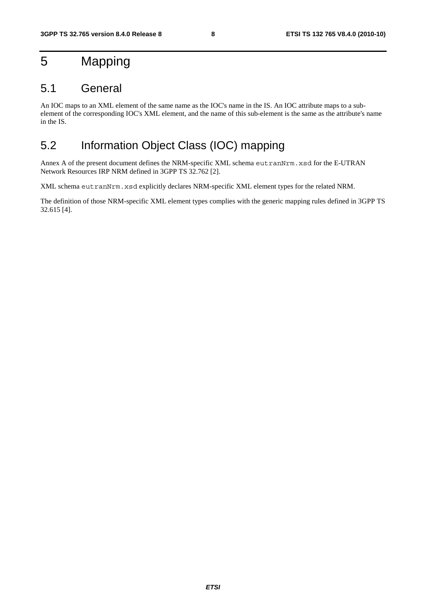## 5 Mapping

#### 5.1 General

An IOC maps to an XML element of the same name as the IOC's name in the IS. An IOC attribute maps to a subelement of the corresponding IOC's XML element, and the name of this sub-element is the same as the attribute's name in the IS.

### 5.2 Information Object Class (IOC) mapping

Annex A of the present document defines the NRM-specific XML schema eutranNrm.xsd for the E-UTRAN Network Resources IRP NRM defined in 3GPP TS 32.762 [2].

XML schema eutranNrm.xsd explicitly declares NRM-specific XML element types for the related NRM.

The definition of those NRM-specific XML element types complies with the generic mapping rules defined in 3GPP TS 32.615 [4].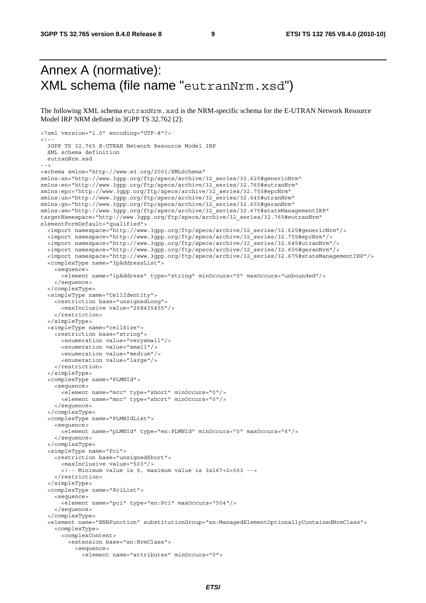### Annex A (normative): XML schema (file name "eutranNrm.xsd")

The following XML schema eutranNrm.xsd is the NRM-specific schema for the E-UTRAN Network Resource Model IRP NRM defined in 3GPP TS 32.762 [2]:

```
<?xml version="1.0" encoding="UTF-8"?> 
< 1 - - 3GPP TS 32.765 E-UTRAN Network Resource Model IRP 
   XML schema definition 
   eutranNrm.xsd 
--> 
<schema xmlns="http://www.w3.org/2001/XMLSchema" 
xmlns:xn="http://www.3gpp.org/ftp/specs/archive/32_series/32.625#genericNrm" 
xmlns:en="http://www.3gpp.org/ftp/specs/archive/32_series/32.765#eutranNrm" 
xmlns:epc="http://www.3gpp.org/ftp/specs/archive/32_series/32.755#epcNrm" 
xmlns:un="http://www.3gpp.org/ftp/specs/archive/32_series/32.645#utranNrm" 
xmlns:gn="http://www.3gpp.org/ftp/specs/archive/32_series/32.655#geranNrm" 
xmlns:sm="http://www.3gpp.org/ftp/specs/archive/32_series/32.675#stateManagementIRP" 
targetNamespace="http://www.3gpp.org/ftp/specs/archive/32_series/32.765#eutranNrm" 
elementFormDefault="qualified"> 
   <import namespace="http://www.3gpp.org/ftp/specs/archive/32_series/32.625#genericNrm"/> 
   <import namespace="http://www.3gpp.org/ftp/specs/archive/32_series/32.755#epcNrm"/> 
   <import namespace="http://www.3gpp.org/ftp/specs/archive/32_series/32.645#utranNrm"/> 
   <import namespace="http://www.3gpp.org/ftp/specs/archive/32_series/32.655#geranNrm"/> 
   <import namespace="http://www.3gpp.org/ftp/specs/archive/32_series/32.675#stateManagementIRP"/> 
   <complexType name="IpAddressList"> 
     <sequence> 
       <element name="ipAddress" type="string" minOccurs="0" maxOccurs="unbounded"/> 
     </sequence> 
   </complexType> 
   <simpleType name="CellIdentity"> 
     <restriction base="unsignedLong"> 
       <maxInclusive value="268435455"/> 
     </restriction> 
   </simpleType> 
   <simpleType name="cellSize"> 
     <restriction base="string"> 
       <enumeration value="verysmall"/> 
       <enumeration value="small"/> 
       <enumeration value="medium"/> 
       <enumeration value="large"/> 
     </restriction> 
   </simpleType> 
   <complexType name="PLMNId"> 
     <sequence> 
       <element name="mcc" type="short" minOccurs="0"/> 
       <element name="mnc" type="short" minOccurs="0"/> 
     </sequence> 
   </complexType> 
   <complexType name="PLMNIdList"> 
     <sequence> 
       <element name="pLMNId" type="en:PLMNId" minOccurs="0" maxOccurs="6"/> 
     </sequence> 
   </complexType> 
   <simpleType name="Pci"> 
     <restriction base="unsignedShort"> 
       <maxInclusive value="503"/> 
       <!-- Minimum value is 0, maximum value is 3x167+2=503 --> 
     </restriction> 
   </simpleType> 
   <complexType name="PciList"> 
     <sequence> 
       <element name="pci" type="en:Pci" maxOccurs="504"/> 
     </sequence> 
   </complexType> 
   <element name="ENBFunction" substitutionGroup="xn:ManagedElementOptionallyContainedNrmClass"> 
     <complexType> 
       <complexContent> 
         <extension base="xn:NrmClass"> 
           <sequence> 
             <element name="attributes" minOccurs="0">
```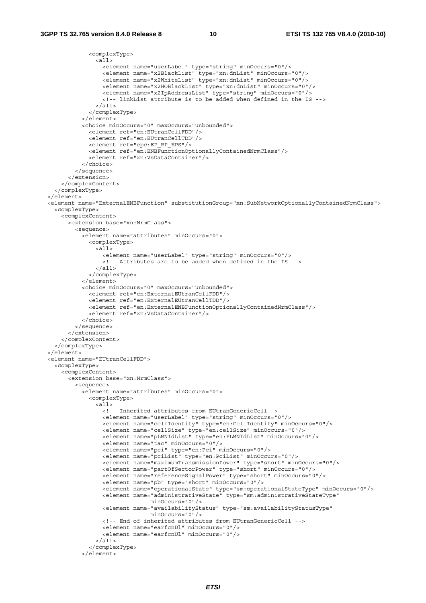```
 <complexType> 
                 <all> 
                   <element name="userLabel" type="string" minOccurs="0"/> 
 <element name="x2BlackList" type="xn:dnList" minOccurs="0"/> 
 <element name="x2WhiteList" type="xn:dnList" minOccurs="0"/> 
                   <element name="x2HOBlackList" type="xn:dnList" minOccurs="0"/> 
                   <element name="x2IpAddressList" type="string" minOccurs="0"/> 
                   <!-- linkList attribute is to be added when defined in the IS --> 
                \epsilon/all\epsilon </complexType> 
             </element> 
             <choice minOccurs="0" maxOccurs="unbounded"> 
               <element ref="en:EUtranCellFDD"/> 
               <element ref="en:EUtranCellTDD"/> 
               <element ref="epc:EP_RP_EPS"/> 
               <element ref="en:ENBFunctionOptionallyContainedNrmClass"/> 
               <element ref="xn:VsDataContainer"/> 
             </choice> 
           </sequence> 
         </extension> 
       </complexContent> 
    </complexType> 
   </element> 
  <element name="ExternalENBFunction" substitutionGroup="xn:SubNetworkOptionallyContainedNrmClass"> 
    <complexType> 
      <complexContent> 
         <extension base="xn:NrmClass"> 
           <sequence> 
             <element name="attributes" minOccurs="0"> 
               <complexType> 
                 <all> 
                   <element name="userLabel" type="string" minOccurs="0"/> 
                   <!-- Attributes are to be added when defined in the IS --> 
                \langleall\rangle </complexType> 
             </element> 
             <choice minOccurs="0" maxOccurs="unbounded"> 
               <element ref="en:ExternalEUtranCellFDD"/> 
               <element ref="en:ExternalEUtranCellTDD"/> 
               <element ref="en:ExternalENBFunctionOptionallyContainedNrmClass"/> 
               <element ref="xn:VsDataContainer"/> 
             </choice> 
           </sequence> 
         </extension> 
       </complexContent> 
     </complexType> 
  </element> 
  <element name="EUtranCellFDD"> 
     <complexType> 
      <complexContent> 
         <extension base="xn:NrmClass"> 
           <sequence> 
             <element name="attributes" minOccurs="0"> 
               <complexType> 
                \overline{all} <!-- Inherited attributes from EUtranGenericCell--> 
                   <element name="userLabel" type="string" minOccurs="0"/> 
                   <element name="cellIdentity" type="en:CellIdentity" minOccurs="0"/> 
 <element name="cellSize" type="en:cellSize" minOccurs="0"/> 
 <element name="pLMNIdList" type="en:PLMNIdList" minOccurs="0"/> 
                   <element name="tac" minOccurs="0"/> 
                   <element name="pci" type="en:Pci" minOccurs="0"/> 
                   <element name="pciList" type="en:PciList" minOccurs="0"/> 
                   <element name="maximumTransmissionPower" type="short" minOccurs="0"/> 
                   <element name="partOfSectorPower" type="short" minOccurs="0"/> 
                   <element name="referenceSignalPower" type="short" minOccurs="0"/> 
                   <element name="pb" type="short" minOccurs="0"/> 
                   <element name="operationalState" type="sm:operationalStateType" minOccurs="0"/> 
                   <element name="administrativeState" type="sm:administrativeStateType" 
                                  minOccurs="0"/> 
                   <element name="availabilityStatus" type="sm:availabilityStatusType" 
                                 minOccurs="0"/> 
                   <!-- End of inherited attributes from EUtranGenericCell --> 
                   <element name="earfcnDl" minOccurs="0"/> 
                   <element name="earfcnUl" minOccurs="0"/> 
                \langleall\rangle </complexType> 
             </element>
```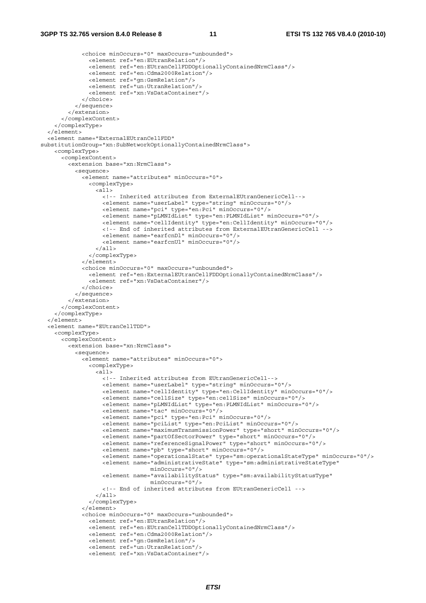```
 <choice minOccurs="0" maxOccurs="unbounded"> 
                <element ref="en:EUtranRelation"/> 
                <element ref="en:EUtranCellFDDOptionallyContainedNrmClass"/> 
                <element ref="en:Cdma2000Relation"/> 
                <element ref="gn:GsmRelation"/> 
                <element ref="un:UtranRelation"/> 
                <element ref="xn:VsDataContainer"/> 
             </choice> 
           </sequence> 
          </extension> 
       </complexContent> 
     </complexType> 
  \epsilon/element>
   <element name="ExternalEUtranCellFDD" 
substitutionGroup="xn:SubNetworkOptionallyContainedNrmClass"> 
     <complexType> 
       <complexContent> 
         <extension base="xn:NrmClass"> 
           <sequence> 
             <element name="attributes" minOccurs="0"> 
                <complexType> 
                 \leq all\geq <!-- Inherited attributes from ExternalEUtranGenericCell--> 
                    <element name="userLabel" type="string" minOccurs="0"/> 
                    <element name="pci" type="en:Pci" minOccurs="0"/> 
                    <element name="pLMNIdList" type="en:PLMNIdList" minOccurs="0"/> 
                    <element name="cellIdentity" type="en:CellIdentity" minOccurs="0"/> 
                    <!-- End of inherited attributes from ExternalEUtranGenericCell --> 
                    <element name="earfcnDl" minOccurs="0"/> 
                    <element name="earfcnUl" minOccurs="0"/> 
                 \epsilon/all\epsilon </complexType> 
              </element> 
              <choice minOccurs="0" maxOccurs="unbounded"> 
                <element ref="en:ExternalEUtranCellFDDOptionallyContainedNrmClass"/> 
                <element ref="xn:VsDataContainer"/> 
              </choice> 
           </sequence> 
         </extension> 
       </complexContent> 
     </complexType> 
   </element> 
   <element name="EUtranCellTDD"> 
     <complexType> 
       <complexContent> 
         <extension base="xn:NrmClass"> 
           <sequence> 
             <element name="attributes" minOccurs="0"> 
                <complexType> 
                 \overline{\text{all}} <!-- Inherited attributes from EUtranGenericCell--> 
                    <element name="userLabel" type="string" minOccurs="0"/> 
                    <element name="cellIdentity" type="en:CellIdentity" minOccurs="0"/> 
                    <element name="cellSize" type="en:cellSize" minOccurs="0"/> 
                    <element name="pLMNIdList" type="en:PLMNIdList" minOccurs="0"/> 
                    <element name="tac" minOccurs="0"/> 
                    <element name="pci" type="en:Pci" minOccurs="0"/> 
                    <element name="pciList" type="en:PciList" minOccurs="0"/> 
                    <element name="maximumTransmissionPower" type="short" minOccurs="0"/> 
                    <element name="partOfSectorPower" type="short" minOccurs="0"/> 
                    <element name="referenceSignalPower" type="short" minOccurs="0"/> 
                    <element name="pb" type="short" minOccurs="0"/> 
                    <element name="operationalState" type="sm:operationalStateType" minOccurs="0"/> 
                   <element name="administrativeState" type="sm:administrativeStateType"
                                   minOccurs="0"/> 
                    <element name="availabilityStatus" type="sm:availabilityStatusType" 
                                   minOccurs="0"/> 
                    <!-- End of inherited attributes from EUtranGenericCell --> 
                 \langleall> </complexType> 
              </element> 
              <choice minOccurs="0" maxOccurs="unbounded"> 
                <element ref="en:EUtranRelation"/> 
                <element ref="en:EUtranCellTDDOptionallyContainedNrmClass"/> 
                <element ref="en:Cdma2000Relation"/> 
                <element ref="gn:GsmRelation"/> 
                <element ref="un:UtranRelation"/> 
                <element ref="xn:VsDataContainer"/>
```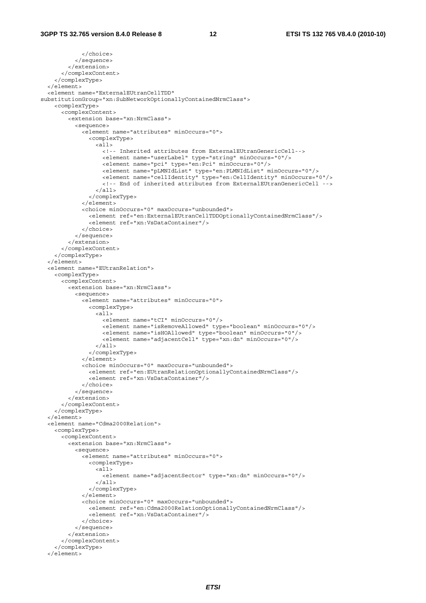```
 </choice> 
            </sequence> 
         </extension> 
       </complexContent> 
     </complexType> 
   </element> 
   <element name="ExternalEUtranCellTDD" 
substitutionGroup="xn:SubNetworkOptionallyContainedNrmClass"> 
     <complexType> 
       <complexContent> 
         <extension base="xn:NrmClass"> 
            <sequence> 
              <element name="attributes" minOccurs="0"> 
                <complexType> 
                  <all> 
                    <!-- Inherited attributes from ExternalEUtranGenericCell--> 
                    <element name="userLabel" type="string" minOccurs="0"/> 
                    <element name="pci" type="en:Pci" minOccurs="0"/> 
                    <element name="pLMNIdList" type="en:PLMNIdList" minOccurs="0"/> 
                    <element name="cellIdentity" type="en:CellIdentity" minOccurs="0"/> 
                    <!-- End of inherited attributes from ExternalEUtranGenericCell --> 
                  </all> 
                </complexType> 
              </element> 
              <choice minOccurs="0" maxOccurs="unbounded"> 
                <element ref="en:ExternalEUtranCellTDDOptionallyContainedNrmClass"/> 
                <element ref="xn:VsDataContainer"/> 
              </choice> 
            </sequence> 
        z/extension\sim </complexContent> 
     </complexType> 
   </element> 
   <element name="EUtranRelation"> 
     <complexType> 
       <complexContent> 
         <extension base="xn:NrmClass"> 
            <sequence> 
              <element name="attributes" minOccurs="0"> 
                <complexType> 
                  <all> 
                    <element name="tCI" minOccurs="0"/> 
                    <element name="isRemoveAllowed" type="boolean" minOccurs="0"/> 
                    <element name="isHOAllowed" type="boolean" minOccurs="0"/> 
                    <element name="adjacentCell" type="xn:dn" minOccurs="0"/> 
                 \langleall> </complexType> 
              </element> 
              <choice minOccurs="0" maxOccurs="unbounded"> 
                <element ref="en:EUtranRelationOptionallyContainedNrmClass"/> 
                <element ref="xn:VsDataContainer"/> 
              </choice> 
            </sequence> 
         </extension> 
       </complexContent> 
     </complexType> 
   </element> 
   <element name="Cdma2000Relation"> 
     <complexType> 
       <complexContent> 
         <extension base="xn:NrmClass"> 
            <sequence> 
              <element name="attributes" minOccurs="0"> 
                <complexType> 
                 \leq alls
                    <element name="adjacentSector" type="xn:dn" minOccurs="0"/> 
                 \langleall\rangle </complexType> 
              </element> 
              <choice minOccurs="0" maxOccurs="unbounded"> 
                <element ref="en:Cdma2000RelationOptionallyContainedNrmClass"/> 
                <element ref="xn:VsDataContainer"/> 
              </choice> 
            </sequence> 
         </extension> 
       </complexContent> 
     </complexType> 
   </element>
```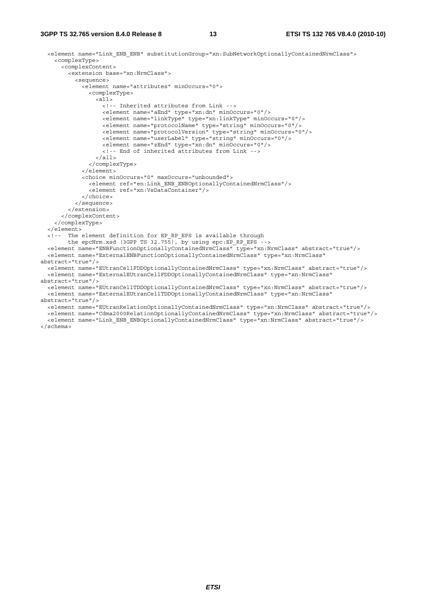#### **3GPP TS 32.765 version 8.4.0 Release 8 13 ETSI TS 132 765 V8.4.0 (2010-10)**

```
 <element name="Link_ENB_ENB" substitutionGroup="xn:SubNetworkOptionallyContainedNrmClass"> 
     <complexType> 
       <complexContent> 
         <extension base="xn:NrmClass"> 
           <sequence> 
             <element name="attributes" minOccurs="0"> 
               <complexType> 
                 \overline{c}all\overline{c} <!-- Inherited attributes from Link --> 
                    <element name="aEnd" type="xn:dn" minOccurs="0"/> 
                    <element name="linkType" type="xn:linkType" minOccurs="0"/> 
                    <element name="protocolName" type="string" minOccurs="0"/> 
                    <element name="protocolVersion" type="string" minOccurs="0"/> 
                    <element name="userLabel" type="string" minOccurs="0"/> 
                    <element name="zEnd" type="xn:dn" minOccurs="0"/> 
                    <!-- End of inherited attributes from Link --> 
                 \langleall\rangle </complexType> 
              </element> 
             <choice minOccurs="0" maxOccurs="unbounded"> 
               <element ref="en:Link_ENB_ENBOptionallyContainedNrmClass"/> 
                <element ref="xn:VsDataContainer"/> 
             </choice> 
           </sequence> 
         </extension> 
       </complexContent> 
     </complexType> 
   </element> 
   <!-- The element definition for EP_RP_EPS is available through 
        the epcNrm.xsd (3GPP TS 32.755), by using epc:EP RP EPS -->
   <element name="ENBFunctionOptionallyContainedNrmClass" type="xn:NrmClass" abstract="true"/> 
   <element name="ExternalENBFunctionOptionallyContainedNrmClass" type="xn:NrmClass" 
abstract="true"/> 
   <element name="EUtranCellFDDOptionallyContainedNrmClass" type="xn:NrmClass" abstract="true"/> 
   <element name="ExternalEUtranCellFDDOptionallyContainedNrmClass" type="xn:NrmClass" 
abstract="true"/> 
  <element name="EUtranCellTDDOptionallyContainedNrmClass" type="xn:NrmClass" abstract="true"/> 
   <element name="ExternalEUtranCellTDDOptionallyContainedNrmClass" type="xn:NrmClass" 
abstract="true"/> 
   <element name="EUtranRelationOptionallyContainedNrmClass" type="xn:NrmClass" abstract="true"/> 
   <element name="Cdma2000RelationOptionallyContainedNrmClass" type="xn:NrmClass" abstract="true"/> 
   <element name="Link_ENB_ENBOptionallyContainedNrmClass" type="xn:NrmClass" abstract="true"/> 
</schema>
```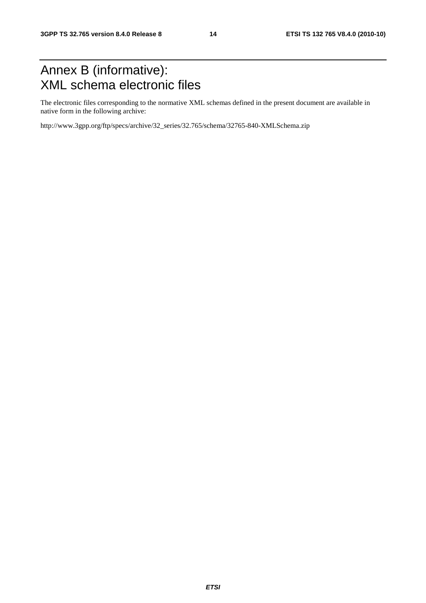## Annex B (informative): XML schema electronic files

The electronic files corresponding to the normative XML schemas defined in the present document are available in native form in the following archive:

http://www.3gpp.org/ftp/specs/archive/32\_series/32.765/schema/32765-840-XMLSchema.zip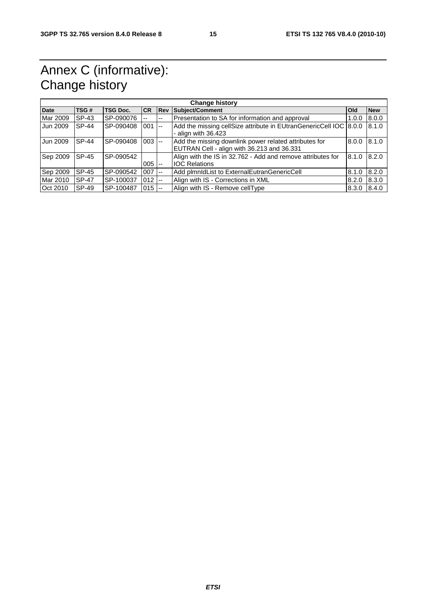## Annex C (informative): Change history

| <b>Change history</b> |              |                 |           |            |                                                                                                     |            |            |
|-----------------------|--------------|-----------------|-----------|------------|-----------------------------------------------------------------------------------------------------|------------|------------|
| <b>Date</b>           | TSG#         | <b>TSG Doc.</b> | <b>CR</b> | <b>Rev</b> | Subject/Comment                                                                                     | <b>Old</b> | <b>New</b> |
| Mar 2009              | SP-43        | SP-090076       | --        | $-$        | Presentation to SA for information and approval                                                     | 1.0.0      | 8.0.0      |
| Jun 2009              | <b>SP-44</b> | SP-090408       | 001       | $1 - -$    | Add the missing cellSize attribute in EUtranGenericCell IOC 8.0.0<br>- align with $36.423$          |            | 8.1.0      |
| Jun 2009              | <b>SP-44</b> | SP-090408       | $003$ --  |            | Add the missing downlink power related attributes for<br>EUTRAN Cell - align with 36.213 and 36.331 | 8.0.0      | 8.1.0      |
| Sep 2009              | SP-45        | SP-090542       | 005       | $- -$      | Align with the IS in 32.762 - Add and remove attributes for<br><b>IOC Relations</b>                 | 8.1.0      | 8.2.0      |
| Sep 2009              | SP-45        | SP-090542       | $007$ --  |            | Add plmnldList to ExternalEutranGenericCell                                                         | 8.1.0      | 8.2.0      |
| Mar 2010              | <b>SP-47</b> | SP-100037       | $012$ --  |            | Align with IS - Corrections in XML                                                                  | 8.2.0      | 8.3.0      |
| Oct 2010              | SP-49        | SP-100487       | $015 -$   |            | Align with IS - Remove cellType                                                                     | 8.3.0      | 8.4.0      |